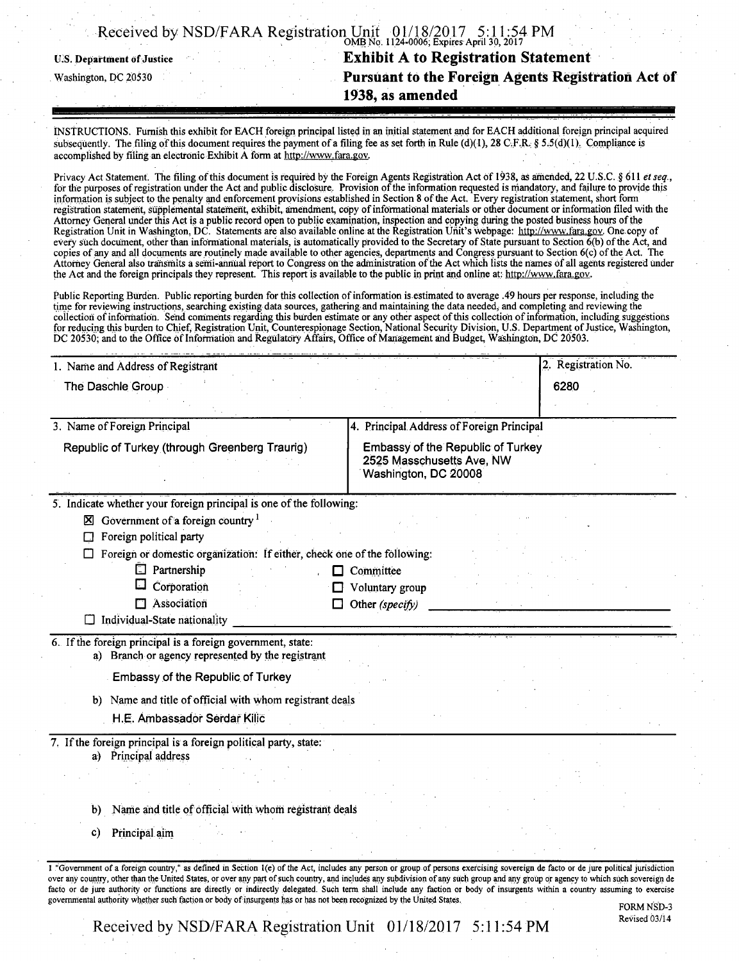|  |  |  | Received by NSD/FARA Registration Unit $0.01/18/2017$ 5:11:54 PM |
|--|--|--|------------------------------------------------------------------|
|  |  |  |                                                                  |

U.S. Department of Justice

Washington, DC 20530

## VIVID NO. 1124-0000, Expires April 30, 2017 **Exhibit A to Registration Statement Pursuant to the Foreign Agents Registration Act Of 1938, as amended**

INSTRUCTIONS. Furnish this exhibit for EACH foreign principal listed in an initial statement and for EACH additional foreign principal acquired subsequently. The filing of this document requires the payment of a filing fee as set forth in Rule (d)(1), 28 C.F.R. § 5.5(d)(1). Compliance is accomplished by filing an electronic Exhibit A form at http://www.fara.gov.

Privacy Act Statement. The filing of this document is required by the Foreign Agents Registration Act of 1938, as amended, 22 U.S.C. § 611 et seq., for the purposes of registration under the Act and public disclosure. Provision of the information requested is mandatory, and failure to provide this information is subject to the penalty and enforcement provisions established in Section 8 ofthe Act. Every registration statement, short form registration statement, supplemental statement, exhibit, amendment, copy of informational materials or other document or information filed with the Attorney General under this Act is a public record open to public examination, inspection and copying during the posted business hours of the Registration Unit in Washington, DC. Statements are also available online at the Registration Unit's webpage: http://www.fara.gov. One copy of every such document, other than informational materials, is automatically provided to the Secretary of State pursuant to Section 6(b) of the Act, and copies of any and all documents are routinely made available to other agencies, departments and Congress pursuant to Section 6(c) of the Act. The Attorney General also transmits a semi-annual report to Congress on the administration ofthe Act which lists the names of all agents registered under the Act and the foreign principals they represent. This report is available to the public in print and online at: http://www.fara.gov.

Public Reporting Burden. Public reporting burden for this collection of information is estimated to average .49 hours per response, including the time for reviewing instructions, searching existing data sources, gathering and maintaining the data needed, and completing and reviewing the collection of information. Send comments regarding this burden estimate or any other aspect of this collection of information, including suggestions for reducing this burden to Chief, Registration Unit, Counterespionage Section, National Security Division, U.S. Department of Justice, Washington, DC 20530; and to the Office of Information and Regulatory Affairs, Office of Management and Budget, Washington, DC 20503.

| 1. Name and Address of Registrant                                                                                | 2. Registration No.                                                                    |
|------------------------------------------------------------------------------------------------------------------|----------------------------------------------------------------------------------------|
| The Daschle Group                                                                                                | 6280                                                                                   |
|                                                                                                                  |                                                                                        |
| 3. Name of Foreign Principal                                                                                     | 4. Principal Address of Foreign Principal                                              |
| Republic of Turkey (through Greenberg Traurig)                                                                   | Embassy of the Republic of Turkey<br>2525 Masschusetts Ave, NW<br>Washington, DC 20008 |
| 5. Indicate whether your foreign principal is one of the following:                                              |                                                                                        |
| $\boxtimes$ Government of a foreign country $^1$                                                                 |                                                                                        |
| Foreign political party                                                                                          |                                                                                        |
| Foreign or domestic organization: If either, check one of the following:                                         |                                                                                        |
| Partnership<br>O.<br>. .                                                                                         | Committee                                                                              |
| 囗<br>Corporation                                                                                                 | Voluntary group                                                                        |
| Association                                                                                                      | Other (specify)                                                                        |
| Individual-State nationality                                                                                     |                                                                                        |
| 6. If the foreign principal is a foreign government, state:<br>a) Branch or agency represented by the registrant |                                                                                        |
| Embassy of the Republic of Turkey                                                                                |                                                                                        |
| b) Name and title of official with whom registrant deals                                                         |                                                                                        |
| H.E. Ambassador Serdar Kilic                                                                                     |                                                                                        |
| 7. If the foreign principal is a foreign political party, state:                                                 |                                                                                        |
| Principal address<br>a)                                                                                          |                                                                                        |
|                                                                                                                  |                                                                                        |
| Name and title of official with whom registrant deals<br>b)                                                      |                                                                                        |
|                                                                                                                  |                                                                                        |
| Principal aim<br>c)                                                                                              |                                                                                        |

FORM NSD-3 Revised 03/14

Received by NSD/FARA Registration Unit 01/18/2017 5:11:54 PM

governmental authority whether such faction or body of insurgents has or has not been recognized by the United States.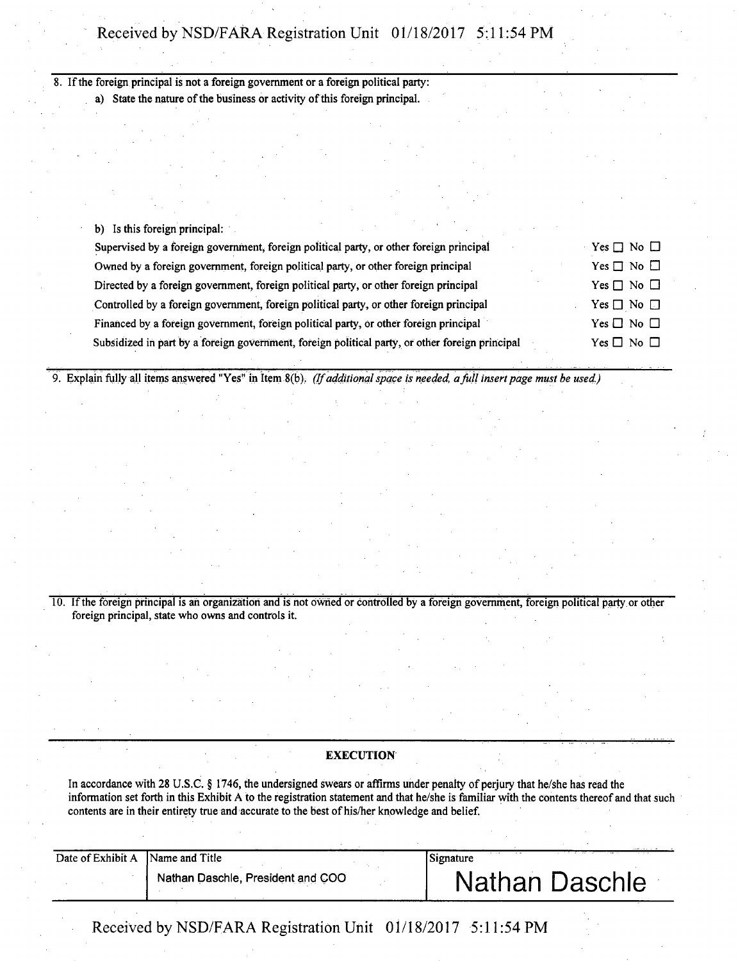## Received by NSD/FARA Registration Unit 01/18/2017 5:11:54 PM

8. If the foreign principal is not a foreign government or a foreign political party: a) State the nature of the business or activity of this foreign principal.

|  |  | b) Is this foreign principal: |  |  |
|--|--|-------------------------------|--|--|
|  |  |                               |  |  |

| Supervised by a foreign government, foreign political party, or other foreign principal         | Yes $\Box$ No $\Box$ |
|-------------------------------------------------------------------------------------------------|----------------------|
| Owned by a foreign government, foreign political party, or other foreign principal              | Yes $\Box$ No $\Box$ |
| Directed by a foreign government, foreign political party, or other foreign principal           | Yes $\Box$ No $\Box$ |
| Controlled by a foreign government, foreign political party, or other foreign principal         | Yes $\Box$ No $\Box$ |
| Financed by a foreign government, foreign political party, or other foreign principal           | Yes $\Box$ No $\Box$ |
| Subsidized in part by a foreign government, foreign political party, or other foreign principal | Yes $\Box$ No $\Box$ |

*9. Explain fully all items answered "Yes" in Item 8(b). (If additional space is needed, a full insert page must be used.)* 

10. If the foreign principal is an organization and is not owned or controlled by a foreign government, foreign political party or other foreign principal, state who owns and controls it.

## **EXECUTION**

In accordance with 28 U.S.C. § 1746, the undersigned swears or affirms under penalty of perjury that he/she has read the information set forth in this Exhibit A to the registration statement and that he/she is familiar with the contents thereof and that such contents are in their entirety true and accurate to the best of his/her knowledge and belief.

| Date of Exhibit A Name and Title |                                   | Signature |                |
|----------------------------------|-----------------------------------|-----------|----------------|
|                                  | Nathan Daschle, President and COO |           | Nathan Daschle |

Received by NSD/FARA Registration Unit 01/18/2017 5:11:54 PM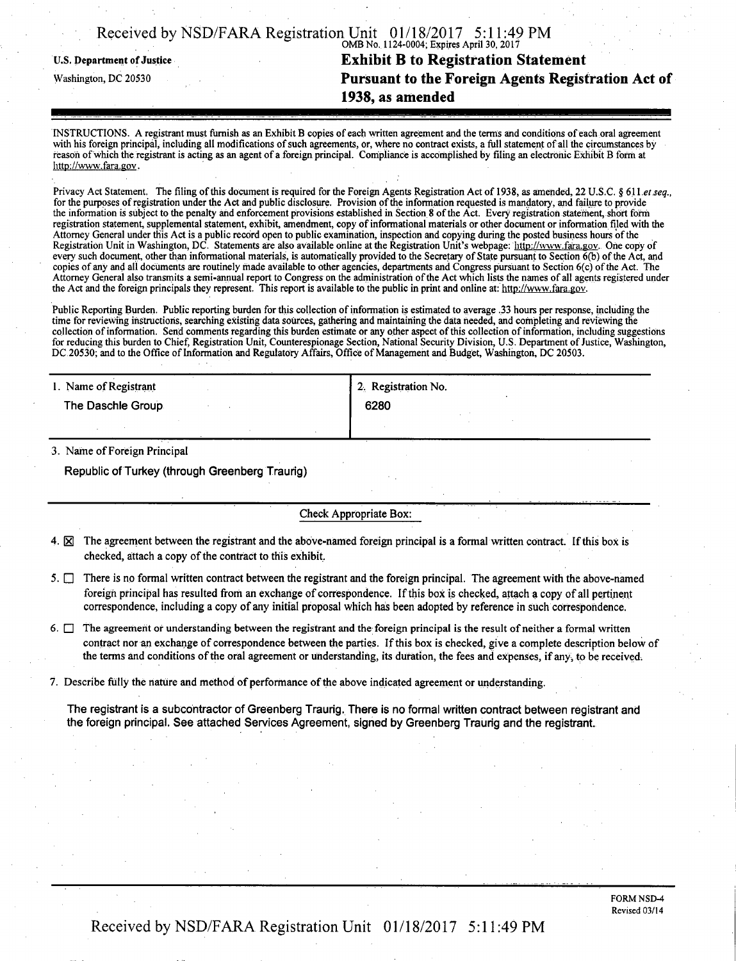|  | Received by NSD/FARA Registration Unit 01/18/2017 5:11:49 PM |                                           |  |
|--|--------------------------------------------------------------|-------------------------------------------|--|
|  |                                                              | OMB No. 1124-0004; Expires April 30, 2017 |  |

# U.S. Department of Justice **Exhibit B to Registration Statement**<br>Washington, DC 20530 **Pursuant to the Foreign Agents Regist Pursuant to the Foreign Agents Registration Act of 1938, as amended**

INSTRUCTIONS. A registrant must furnish as an Exhibit B copies of each written agreement and the terms and conditions of each oral agreement with his foreign principal, including all modifications of such agreements, or, where no contract exists, a full statement of all the circumstances by reason of which the registrant is acting as an agent of a foreign principal. Compliance is accomplished by filing an electronic Exhibit B form at http://www.fara.gov.

Privacy Act Statement. The filing of this document is required for the Foreign Agents Registration Act of 1938, as amended, 22 U.S.C. § 611 et seq., for the purposes of registration under the Act and public disclosure. Provision ofthe information requested is mandatory, and failure to provide the information is subject to the penalty and enforcement provisions established in Section 8 of the Act. Every registration statement, short form registration statement, supplemental statement, exhibit, amendment, copy of informational materials or other document or information filed with the Attorney General under this Act is a public record open to public examination, inspection and copying during the posted business hours of the Registration Unit in Washington, DC. Statements are also available online at the Registration Unit's webpage: http://www.fara.gov. One copy of every such document, other than informational materials, is automatically provided to the Secretary of State pursuant to Section  $\vec{b}$  of the Act, and copies of any and all documents are routinely made available to other agencies, departments and Congress pursuant to Section 6(c) of the Act. The Attorney General also transmits a semi-annual report to Congress on the administration of the Act which lists the names of all agents registered under the Act and the foreign principals they represent. This report is available to the public in print and online at: http://www.fara.gov.

Public Reporting Burden. Public reporting burden for this collection of information is estimated to average .33 hours per response, including the time for reviewing instructions, searching existing data sources, gathering and maintaining the data needed, and completing and reviewing the collection of information. Send comments regarding this burden estimate or any other aspect of this collection of information, including suggestions for reducing this burden to Chief, Registration Unit, Counterespionage Section, National Security Division, U.S. Department of Justice, Washington, DC 20530; and to the Office of Information and Regulatory Affairs, Office of Management and Budget, Washington, DC 20503.

| 1. Name of Registrant | 2. Registration No. |
|-----------------------|---------------------|
| The Daschle Group     | 6280                |
|                       |                     |

3. Name of Foreign Principal

Republic of Turkey (through Greenberg Traurig)

#### Check Appropriate Box:

- 4.  $\boxtimes$  The agreement between the registrant and the above-named foreign principal is a formal written contract. If this box is checked, attach a copy of the contract to this exhibit.
- 5.  $\Box$  There is no formal written contract between the registrant and the foreign principal. The agreement with the above-named foreign principal has resulted from an exchange of correspondence. If this box is checked, attach a copy of all pertinent correspondence, including a copy of any initial proposal which has been adopted by reference in such correspondence.
- 6.  $\Box$  The agreement or understanding between the registrant and the foreign principal is the result of neither a formal written contract nor an exchange of correspondence between the parties. If this box is checked, give a complete description below of the terms and conditions of the oral agreement or understanding, its duration, the fees and expenses, if any, to be received.
- 7. Describe fully the nature and method of performance ofthe above indicated agreement or understanding.

The registrant is a subcontractor of Greenberg Traurig. There is no formal written contract between registrant and the foreign principal. See attached Services Agreement, signed by Greenberg Traurig and the registrant.

Received by NSD/FARA Registration Unit 01/18/2017 5:11:49 PM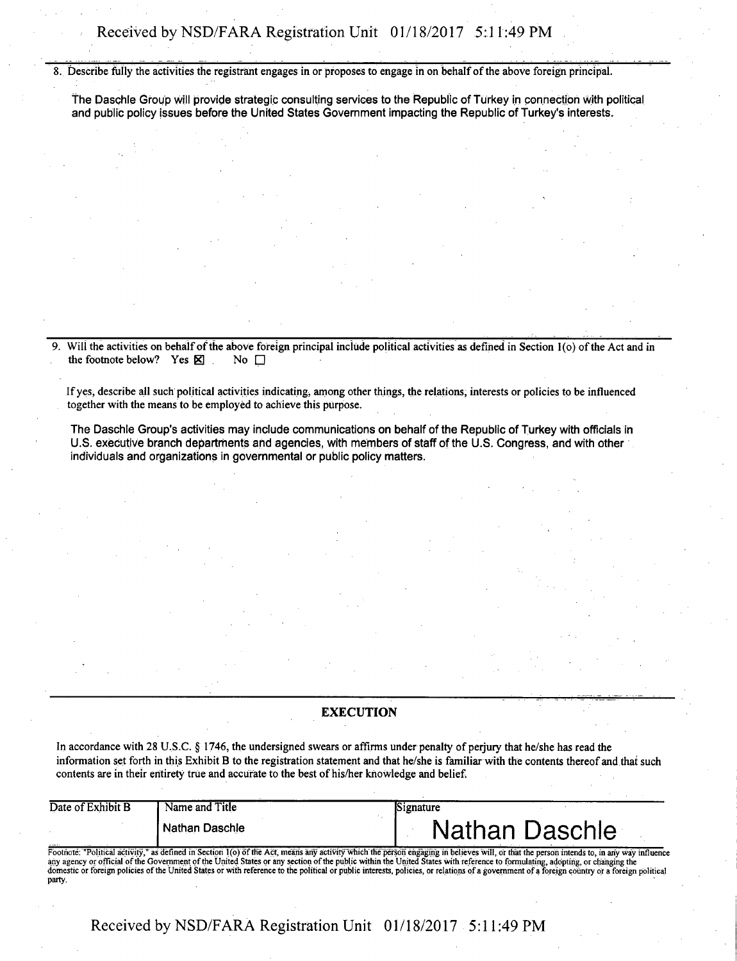**8. Describe fully the activities the registrant engages in or proposes to engage in on behalf of the above foreign principal.** 

The Daschle Group will provide strategic consulting services to the Republic of Turkey in connection with political and public policy issues before the United States Government impacting the Republic of Turkey's interests.

Will the activities on behalf of the above foreign principal include political activities as defined in Section 1(o) of the Act and in the footnote below? Yes  $\boxtimes$ the footnote below? Yes **X** 

**If yes, describe all such political activities indicating^ among other things, the relations, interests or policies to be influenced together with the means to be employed to achieve this purpose.** 

The Daschle Group's activities may include communications on behalf of the Republic of Turkey with officials in U.S. executive branch departments and agencies, with members of staff of the U.S. Congress, and with other individuals and organizations in governmental or public policy matters.

### **EXECUTION**

**In accordance with 28 U.S.C. § 1746, the undersigned swears or affirms under penalty of perjury that he/she has read the information set forth in this Exhibit B to the registration statement and that he/she is familiar with the contents thereof and that such contents are in their entirety true and accurate to the best of his/her knowledge and belief.** 

| Date of Exhibit B | Name and Title   | Signature                                                                                                                                                                               |
|-------------------|------------------|-----------------------------------------------------------------------------------------------------------------------------------------------------------------------------------------|
|                   | i Nathan Daschle | <b>Nathan Daschle</b>                                                                                                                                                                   |
|                   |                  | Footnote: "Political activity," as defined in Section 1(0) of the Act, means any activity which the person engaging in believes will, or that the person intends to, in any way influen |

Footnote: "Political activity," as defined in Section 1(o) of the Act, means any activity which the person engaging in believes will, or that the person intends to, in any way influence<br>any agency or official of the Govern party.

**Received by NSD/FARA Registration Unit 01/18/2017 - 5:11:49 PM**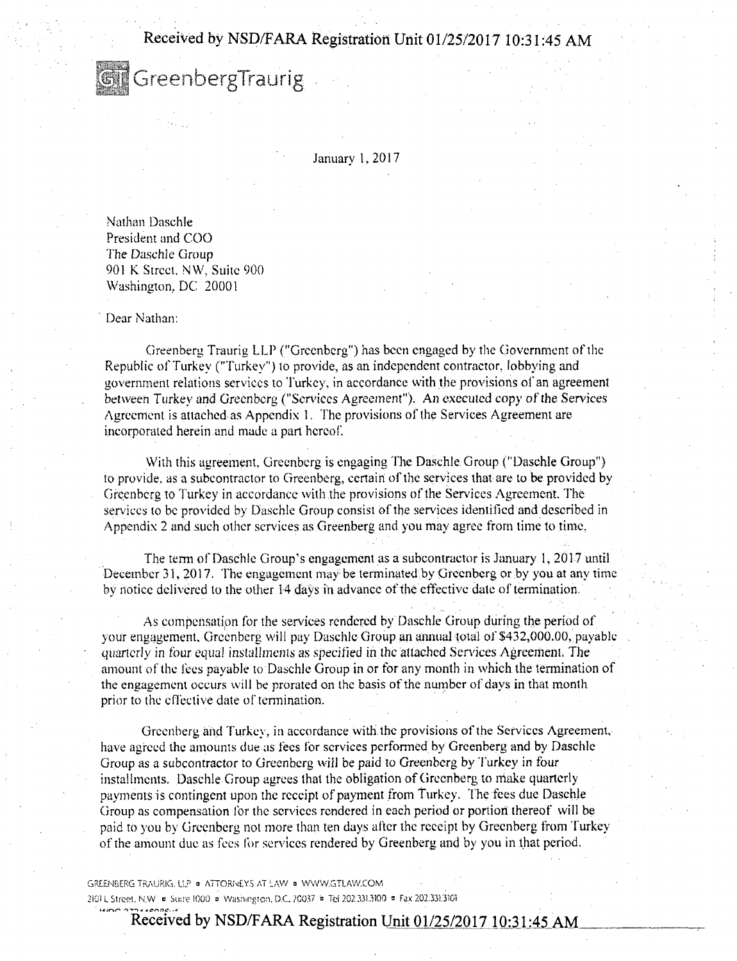**Received by NSD/FARA Registration Unit 01/25/2017 10:31:45 AM** 

**GT** GreenbergTraurig

January 1, 2017

Nathan Daschle President and COO The Daschle Group 901 K Street, NW, Suite 900 Washington, DC 20001

Dear Nathan:

Greenberg Traurig LLP ("Greenberg") has been engaged by the Government of the Republic of Turkey ("Turkey") to provide, as an independent contractor, lobbying and government relations services to Turkey, in accordance with the provisions ol'an agreement between Turkey and Greenberg ("Services Agreement"). An executed copy of the Services Agreement is attached as Appendix 1. The provisions of the Services Agreement are incorporated herein and made a part hereof.

With this agreement, Greenberg is engaging The Daschle Group ("Daschle Group") to provide, as a subcontractor to Greenberg, certain of the services that are to be provided by Greenberg to Turkey in accordance with the provisions of the Services Agreement. The services to be provided by Daschle Group consist of the services identified and described in Appendix 2 and such other services as Greenberg and you may agree from time to time.

The term of Daschle Group's engagement as a subcontractor is January 1, 2017 until December 31, 2017. The engagement may be terminated by Greenberg or by you at any time by notice delivered to the other 14 days in advance of the effective date of termination.

As compensation for the services rendered by Daschle Group during the period of your engagement. Greenberg will pay Daschle Group an annual total of \$432,000.00, payable .quarterly in four equal installments as specified in the attached Services Agreement. The amount of the fees payable to Daschle Group in or for any month in which the termination of the engagement occurs will be prorated on the basis of the number of days in that month prior to the effective date of termination.

Greenberg and Turkey, in accordance with the provisions of the Services Agreement, have agreed the amounts due as fees for services performed by Greenberg and by Daschle Group as a subcontractor to Greenberg will be paid to Greenberg by Turkey in four installments. Daschle Group agrees thai the obligation of Greenberg to make quarterly payments is contingent upon the receipt of payment from Turkey. The fees due Daschle Group as compensation for the services rendered in each period or portion thereof will be paid to you by Greenberg not more than ten days after the receipt by Greenberg from Turkey ofthe amount due as fees for services rendered by Greenberg and by you in that period.

GREENBERG TRAURIG. U.P » ATTORNEYS AT LAW o WWW.GTIAW.COM • • 2101 L Street. N.W = Suire 1000 = Washington, D.C. 20037 • Tel 202.3313100 = Fax 202.3313101

**Received by NSD/FARA Registration Unit 01/25/2017 10:31:45 AM**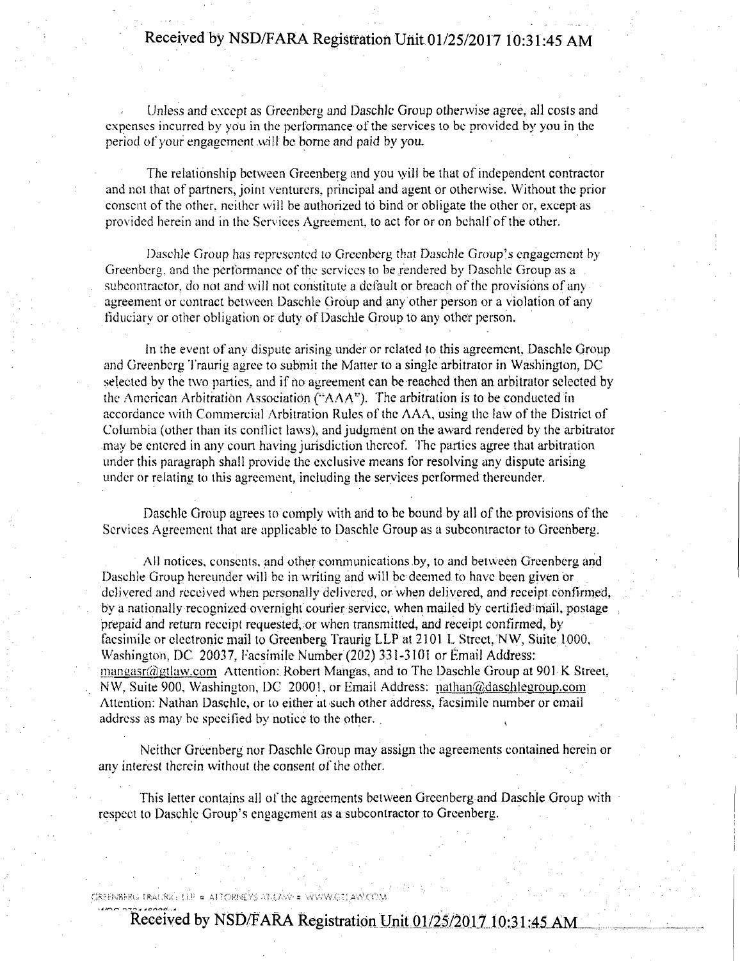# **Received by NSD/FARA Registration Unit 01/25/2017 10:31:45 AM**

Unless and except as Greenberg and Daschle Group otherwise agree, all costs and expenses incurred by you in the performance of the services to be provided by you in the period of your engagement will be borne and paid by you.

The relationship between Greenberg and you \yili be that of independent contractor and not that of partners, joint venturers, principal and agent or otherwise. Without the prior consent of the other, neither will be authorized to bind or obligate the other or, except as provided herein and in the Services Agreement, to act for or on behalf of the other.

Daschle Group has represented to Greenberg that Daschle Group's engagement by Greenberg, and the performance of the services to be rendered by Daschle Group as a subcontractor, do not and will not constitute a default or breach of the provisions of any agreement or contract between Daschle Group and any other person or a violation of any fiduciary or other obligation or duty of Daschle Group to any other person.

in the event of any dispute arising under or related to this agreement, Daschle Group and Greenberg Traurig agree to submit the Matter to a single arbitrator in Washington, DC selected by the two parties, and if no agreement can be reached then an arbitrator selected by the American Arbitration Association ("AAA"). The arbitration is to be conducted in accordance with Commercial Arbitration Rules of the AAA, using the law of the District of Columbia (other than its conflict laws), and judgment on the award rendered by the arbitrator may be entered in any court having jurisdiction thereof. The parties agree that arbitration under this paragraph shall provide the exclusive means for resolving any dispute arising under or relating to this agreement, including the services performed thereunder.

Daschle Group agrees to comply with and to be bound by all of the provisions of the Services Agreement that are applicable to Daschle Group as a subcontractor to Greenberg.

All notices, consents, and other communications by, to and between Greenberg and Daschle Group hereunder will be in writing and will be deemed to have been given or delivered and received when personally delivered, or when delivered, and receipt confirmed, by a nationally recognized overnight courier service, when mailed by certified mail, postage prepaid and return receipt requested;, or when transmitted, and receipt confirmed, by facsimile or electronic mail to Greenberg Traurig LLP at 2101 L Street. NW, Suite 1000, Washington, DC 20037, Facsimile Number (202) 331-3101 or Émail Address: manaasr@gtlaw.com Attention: Robert Mangas, and to The Daschle Group at 901 K Street, NW. Suite 900, Washington, DC 20001, or Email Address: nathan@daschlegroup.com Attention: Nathan Daschle, or to either at such other address, facsimile number or email address as may be specified by notice to the other.

Neither Greenberg nor Daschle Group may assign the agreements contained herein or any interest therein without the consent of the other.

This letter contains all of the agreements between Greenberg and Daschle Group with respect to Daschle Group's engagement as a subcontractor to Greenberg.

### $C$ RRENBERLS FRALING  $11$ P « AFTORNEVS AT  $L/N$ W = WWW.CT! AVVCYO.Y

**Received by NSD/FARA Registration Unit 01/25/2017 10:31:45 AM**